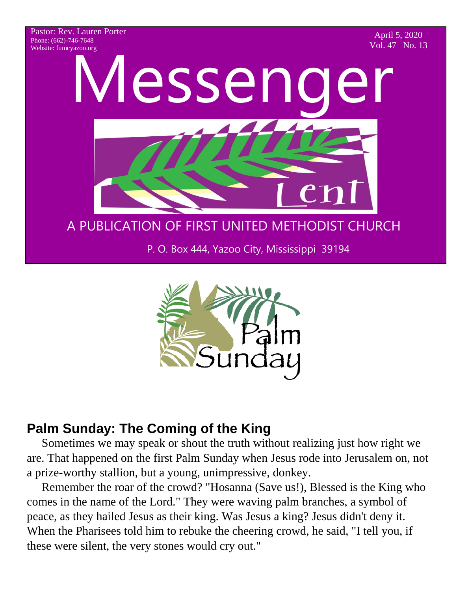Pastor: Rev. Lauren Porter Phone: (662)-746-7648 Website: fumcyazoo.org

April 5, 2020 Vol. 47 No. 13



P. O. Box 444, Yazoo City, Mississippi 39194



## **Palm Sunday: The Coming of the King**

 Sometimes we may speak or shout the truth without realizing just how right we are. That happened on the first Palm Sunday when Jesus rode into Jerusalem on, not a prize-worthy stallion, but a young, unimpressive, donkey.

 Remember the roar of the crowd? "Hosanna (Save us!), Blessed is the King who comes in the name of the Lord." They were waving palm branches, a symbol of peace, as they hailed Jesus as their king. Was Jesus a king? Jesus didn't deny it. When the Pharisees told him to rebuke the cheering crowd, he said, "I tell you, if these were silent, the very stones would cry out."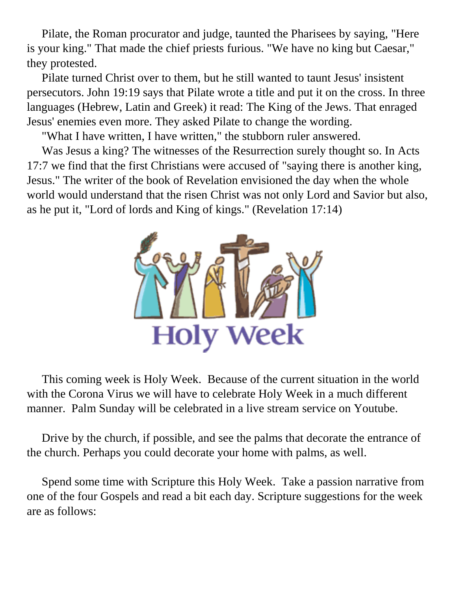Pilate, the Roman procurator and judge, taunted the Pharisees by saying, "Here is your king." That made the chief priests furious. "We have no king but Caesar," they protested.

 Pilate turned Christ over to them, but he still wanted to taunt Jesus' insistent persecutors. John 19:19 says that Pilate wrote a title and put it on the cross. In three languages (Hebrew, Latin and Greek) it read: The King of the Jews. That enraged Jesus' enemies even more. They asked Pilate to change the wording.

"What I have written, I have written," the stubborn ruler answered.

 Was Jesus a king? The witnesses of the Resurrection surely thought so. In Acts 17:7 we find that the first Christians were accused of "saying there is another king, Jesus." The writer of the book of Revelation envisioned the day when the whole world would understand that the risen Christ was not only Lord and Savior but also, as he put it, "Lord of lords and King of kings." (Revelation 17:14)



 This coming week is Holy Week. Because of the current situation in the world with the Corona Virus we will have to celebrate Holy Week in a much different manner. Palm Sunday will be celebrated in a live stream service on Youtube.

 Drive by the church, if possible, and see the palms that decorate the entrance of the church. Perhaps you could decorate your home with palms, as well.

 Spend some time with Scripture this Holy Week. Take a passion narrative from one of the four Gospels and read a bit each day. Scripture suggestions for the week are as follows: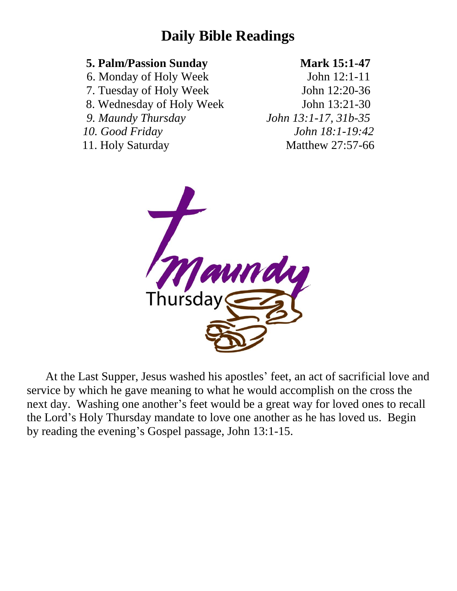# **Daily Bible Readings**

### **5. Palm/Passion Sunday Mark 15:1-47**

6. Monday of Holy Week John 12:1-11

- 7. Tuesday of Holy Week John 12:20-36
- 8. Wednesday of Holy Week John 13:21-30
- 
- 

*9. Maundy Thursday John 13:1-17, 31b-35 10. Good Friday John 18:1-19:42* 11. Holy Saturday Matthew 27:57-66



At the Last Supper, Jesus washed his apostles' feet, an act of sacrificial love and service by which he gave meaning to what he would accomplish on the cross the next day. Washing one another's feet would be a great way for loved ones to recall the Lord's Holy Thursday mandate to love one another as he has loved us. Begin by reading the evening's Gospel passage, John 13:1-15.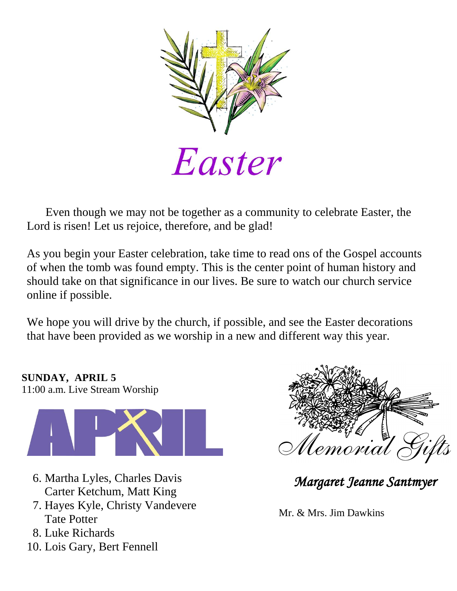

 Even though we may not be together as a community to celebrate Easter, the Lord is risen! Let us rejoice, therefore, and be glad!

As you begin your Easter celebration, take time to read ons of the Gospel accounts of when the tomb was found empty. This is the center point of human history and should take on that significance in our lives. Be sure to watch our church service online if possible.

We hope you will drive by the church, if possible, and see the Easter decorations that have been provided as we worship in a new and different way this year.

**SUNDAY, APRIL 5** 11:00 a.m. Live Stream Worship



- 6. Martha Lyles, Charles Davis Carter Ketchum, Matt King
- 7. Hayes Kyle, Christy Vandevere Tate Potter
- 8. Luke Richards
- 10. Lois Gary, Bert Fennell



*Margaret Jeanne Santmyer* 

Mr. & Mrs. Jim Dawkins